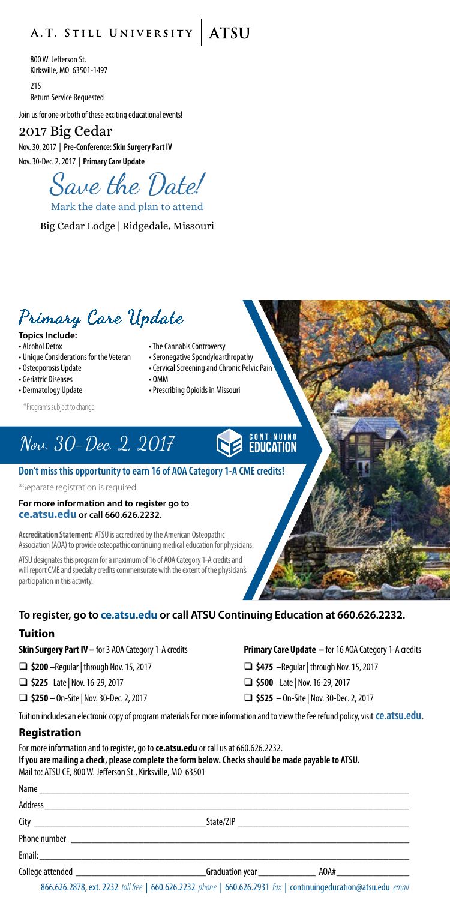### A.T. STILL UNIVERSITY ATSU

800 W. Jefferson St. Kirksville, MO 63501-1497  $215$ Return Service Requested

Join us for one or both of these exciting educational events!

### 2017 Big Cedar

Nov. 30, 2017 | **Pre-Conference: Skin Surgery Part IV** Nov. 30-Dec. 2, 2017 | **Primary Care Update**

Save the Date!

Mark the date and plan to attend

Big Cedar Lodge | Ridgedale, Missouri

### Primary Care Update

- **Topics Include:**<br>• Alcohol Detox
- 
- 
- 
- Geriatric Diseases OMM
- 

\*Programs subject to change.

- The Cannabis Controversy
- Unique Considerations for the Veteran Seronegative Spondyloarthropathy
- Osteoporosis Update Cervical Screening and Chronic Pelvic Pain
	-
- Dermatology Update Prescribing Opioids in Missouri

# Nov. 30-Dec. 2, 2017

#### **Don't miss this opportunity to earn 16 of AOA Category 1-A CME credits!**

\*Separate registration is required.

#### **For more information and to register go to [ce.atsu.edu](http://ce.atsu.edu) or call 660.626.2232.**

**Accreditation Statement:** ATSU is accredited by the American Osteopathic Association (AOA) to provide osteopathic continuing medical education for physicians.

ATSU designates this program for a maximum of 16 of AOA Category 1-A credits and will report CME and specialty credits commensurate with the extent of the physician's participation in this activity.

#### **To register, go to [ce.atsu.edu](http://ce.atsu.edu) or call ATSU Continuing Education at 660.626.2232.**

#### **Tuition**

- **\$200** –Regular | through Nov. 15, 2017 **\$475** –Regular | through Nov. 15, 2017
- **\$225**–Late | Nov. 16-29, 2017 **\$500** –Late | Nov. 16-29, 2017
- 

**Skin Surgery Part IV –** for 3 AOA Category 1-A credits **Primary Care Update –** for 16 AOA Category 1-A credits

- 
- 

**CONTINUING**<br>**EDUCATION** 

**\$250** – On-Site | Nov. 30-Dec. 2, 2017 **\$525** – On-Site | Nov. 30-Dec. 2, 2017

Tuition includes an electronic copy of program materials For more information and to view the fee refund policy, visit **[ce.atsu.edu](http://ce.atsu.edu).**

#### **Registration**

For more information and to register, go to **ce.atsu.edu** or call us at 660.626.2232. **If you are mailing a check, please complete the form below. Checks should be made payable to ATSU.** Mail to: ATSU CE, 800 W. Jefferson St., Kirksville, MO 63501

| Name             |                                                                                                                        |      |  |
|------------------|------------------------------------------------------------------------------------------------------------------------|------|--|
|                  |                                                                                                                        |      |  |
|                  |                                                                                                                        |      |  |
| Phone number     | <u> 1989 - Jan Bernard Bernard, menyebarkan bermula pada tahun 1980 - Pada tahun 1980 - Pada tahun 1980 - Pada tah</u> |      |  |
|                  |                                                                                                                        |      |  |
| College attended | _Graduation year _______________                                                                                       | AOA# |  |

866.626.2878, ext. 2232 *toll free* | 660.626.2232 *phone* | 660.626.2931 *fax* | continuingeducation@atsu.edu *email*